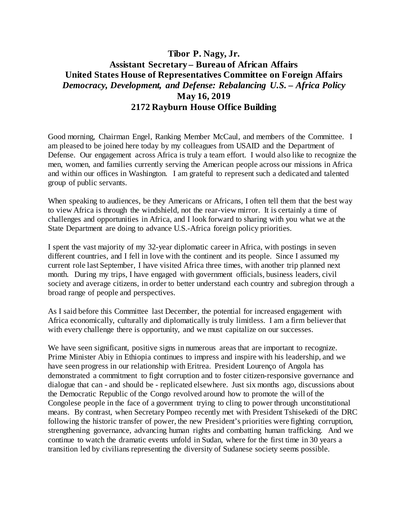## **Tibor P. Nagy, Jr. Assistant Secretary – Bureau of African Affairs United States House of Representatives Committee on Foreign Affairs** *Democracy, Development, and Defense: Rebalancing U.S. – Africa Policy* **May 16, 2019 2172 Rayburn House Office Building**

Good morning, Chairman Engel, Ranking Member McCaul, and members of the Committee. I am pleased to be joined here today by my colleagues from USAID and the Department of Defense. Our engagement across Africa is truly a team effort. I would also like to recognize the men, women, and families currently serving the American people across our missions in Africa and within our offices in Washington. I am grateful to represent such a dedicated and talented group of public servants.

When speaking to audiences, be they Americans or Africans, I often tell them that the best way to view Africa is through the windshield, not the rear-view mirror. It is certainly a time of challenges and opportunities in Africa, and I look forward to sharing with you what we at the State Department are doing to advance U.S.-Africa foreign policy priorities.

I spent the vast majority of my 32-year diplomatic career in Africa, with postings in seven different countries, and I fell in love with the continent and its people. Since I assumed my current role last September, I have visited Africa three times, with another trip planned next month. During my trips, I have engaged with government officials, business leaders, civil society and average citizens, in order to better understand each country and subregion through a broad range of people and perspectives.

As I said before this Committee last December, the potential for increased engagement with Africa economically, culturally and diplomatically is truly limitless. I am a firm believer that with every challenge there is opportunity, and we must capitalize on our successes.

We have seen significant, positive signs in numerous areas that are important to recognize. Prime Minister Abiy in Ethiopia continues to impress and inspire with his leadership, and we have seen progress in our relationship with Eritrea. President Lourenço of Angola has demonstrated a commitment to fight corruption and to foster citizen-responsive governance and dialogue that can - and should be - replicated elsewhere. Just six months ago, discussions about the Democratic Republic of the Congo revolved around how to promote the will of the Congolese people in the face of a government trying to cling to power through unconstitutional means. By contrast, when Secretary Pompeo recently met with President Tshisekedi of the DRC following the historic transfer of power, the new President's priorities were fighting corruption, strengthening governance, advancing human rights and combatting human trafficking. And we continue to watch the dramatic events unfold in Sudan, where for the first time in 30 years a transition led by civilians representing the diversity of Sudanese society seems possible.